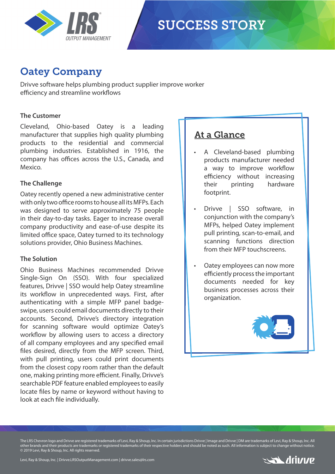

# **SUCCESS STORY**

## Oatey Company

Drivve software helps plumbing product supplier improve worker efficiency and streamline workflows

#### **The Customer**

Cleveland, Ohio-based Oatey is a leading manufacturer that supplies high quality plumbing products to the residential and commercial plumbing industries. Established in 1916, the company has offices across the U.S., Canada, and Mexico.

#### **The Challenge**

Oatey recently opened a new administrative center with only two office rooms to house all its MFPs. Each was designed to serve approximately 75 people in their day-to-day tasks. Eager to increase overall company productivity and ease-of-use despite its limited office space, Oatey turned to its technology solutions provider, Ohio Business Machines.

#### **The Solution**

Ohio Business Machines recommended Drivve Single-Sign On (SSO). With four specialized features, Drivve | SSO would help Oatey streamline its workflow in unprecedented ways. First, after authenticating with a simple MFP panel badgeswipe, users could email documents directly to their accounts. Second, Drivve's directory integration for scanning software would optimize Oatey's workflow by allowing users to access a directory of all company employees and any specified email files desired, directly from the MFP screen. Third, with pull printing, users could print documents from the closest copy room rather than the default one, making printing more efficient. Finally, Drivve's searchable PDF feature enabled employees to easily locate files by name or keyword without having to look at each file individually.

### At a Glance

- A Cleveland-based plumbing products manufacturer needed a way to improve workflow efficiency without increasing their printing hardware footprint.
- Drivve | SSO software, in conjunction with the company's MFPs, helped Oatey implement pull printing, scan-to-email, and scanning functions direction from their MFP touchscreens.
- Oatey employees can now more efficiently process the important documents needed for key business processes across their organization.



The LRS Chevron logo and Drivve are registered trademarks of Levi, Ray & Shoup, Inc. In certain jurisdictions Drivve | Image and Drivve | DM are trademarks of Levi, Ray & Shoup, Inc. All other brands and their products are trademarks or registered trademarks of their respective holders and should be noted as such. All information is subject to change without notice. © 2019 Levi, Ray & Shoup, Inc. All rights reserved.